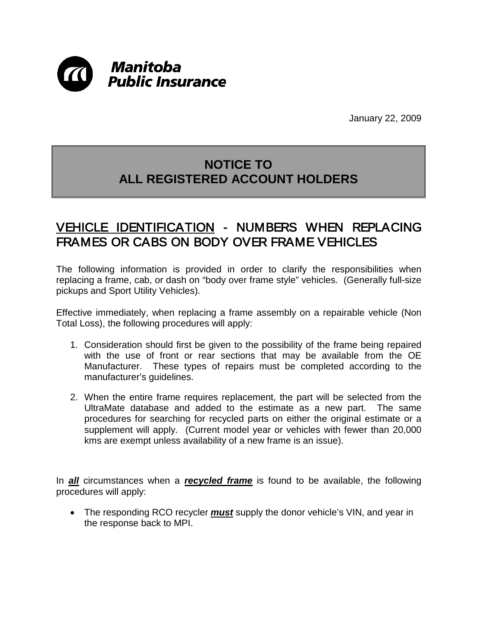

January 22, 2009

## **NOTICE TO ALL REGISTERED ACCOUNT HOLDERS**

## VEHICLE IDENTIFICATION - NUMBERS WHEN REPLACING FRAMES OR CABS ON BODY OVER FRAME VEHICLES

The following information is provided in order to clarify the responsibilities when replacing a frame, cab, or dash on "body over frame style" vehicles. (Generally full-size pickups and Sport Utility Vehicles).

Effective immediately, when replacing a frame assembly on a repairable vehicle (Non Total Loss), the following procedures will apply:

- 1. Consideration should first be given to the possibility of the frame being repaired with the use of front or rear sections that may be available from the OE Manufacturer. These types of repairs must be completed according to the manufacturer's guidelines.
- 2. When the entire frame requires replacement, the part will be selected from the UltraMate database and added to the estimate as a new part. The same procedures for searching for recycled parts on either the original estimate or a supplement will apply. (Current model year or vehicles with fewer than 20,000 kms are exempt unless availability of a new frame is an issue).

In *all* circumstances when a *recycled frame* is found to be available, the following procedures will apply:

• The responding RCO recycler *must* supply the donor vehicle's VIN, and year in the response back to MPI.